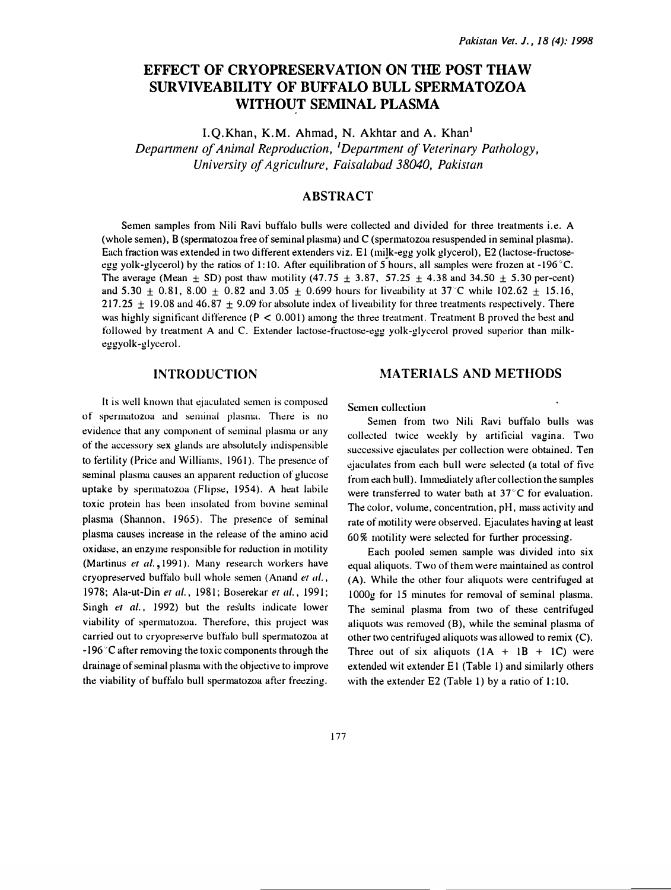# EFFECT OF CRYOPRESERVATION ON THE POST THAW SURVIVEABILITY OF BUFFALO BULL SPERMATOZOA WITHOUT SEMINAL PLASMA

I.O.Khan, K.M. Ahmad, N. Akhtar and A. Khan<sup>1</sup> Department of Animal Reproduction, <sup>1</sup>Department of Veterinary Pathology, University of Agriculture, Faisalabad 38040, Pakistan

# ABSTRACT

Semen samples from Nili Ravi buffalo bulls were collected and divided for three treatments i.e. A (whole semen), B (spermatozoa free of seminal plasma) and C (spermatozoa resuspended in seminal plasma). Each fraction was extended in two different extenders viz. E1 (milk-egg yolk glycerol), E2 (lactose-fructoseegg yolk-glycerol) by the ratios of 1:10. After equilibration of 5 hours, all samples were frozen at -196 °C. The average (Mean  $\pm$  SD) post thaw motility (47.75  $\pm$  3.87, 57.25  $\pm$  4.38 and 34.50  $\pm$  5.30 per-cent) and 5.30  $\pm$  0.81, 8.00  $\pm$  0.82 and 3.05  $\pm$  0.699 hours for liveability at 37°C while 102.62  $\pm$  15.16, 217.25  $\pm$  19.08 and 46.87  $\pm$  9.09 for absolute index of liveability for three treatments respectively. There was highly significant difference ( $P < 0.001$ ) among the three treatment. Treatment B proved the best and followed by treatment A and C. Extender lactose-fructose-egg yolk-glycerol proved superior than milkeggyolk -glycerol.

### INTRODUCTION

It is well known that ejaculated semen is composed of spermatozoa and seminal plasma. There is no evidence that any component of seminal plasma or any of the accessory sex glands are absolutely indispensible to fertility (Price and Williams, 1961). The presence of seminal plasma causes an apparent reduction of glucose uptake by spermatozoa (Flipse, 1954). A h<sup>e</sup>at labile toxic protein has been insolated from bovine seminal plasma (Shannon, 1965). The presence of seminal plasma causes increase in the release of the amino acid oxidase, an enzyme <sup>r</sup>e<sup>s</sup>p<sup>o</sup>nsible for reduction in motility (Martinus et al., 1991). Many research workers have cryopreserved buffalo bull whole semen (Anand et al., 1978; Ala-ut-Din et al., 1981; B<sup>o</sup>serekar et al., 1991; Singh et al., 1992) but the results indicate lower viability of spermutozoa. Therefore, this project was carried out to cryopreserve buffulo bull <sup>s</sup>permatozoa at  $-196$  °C after removing the toxic components through the drainage of seminal plasma with the objective to improve the viability of buffalo bull spermatozoa after freezing.

#### Semen collection

Semen from two Nili Ravi buffalo bulls was collected twice we<sup>e</sup>kly by artificial <sup>v</sup>agina. Two successive ejaculates per collection were obtained. Ten �jaculates from each bull were sdected (a total of five from each bull). Immediately after collection the samples were transferred to water bath at  $37^{\circ}$ C for evaluation. The color, volume, concentration, pH, mass activity and rate of motility were observed. Ejaculates having at least 60% motility were selected for further processing.

MATERIALS AND METHODS

Each pooled semen sample was divided into six equal aliquots. Two of them were maintained as control (A). While the other four aliquots were centrifuged at 1000g for 15 minutes for removal of seminal pl<sup>a</sup>sma. The seminal plasma from two of these centrifuged <sup>a</sup>liquots was removed (B), while the seminal plasma of other two centrifuged aliquots was allowed to remix (C). Three out of six aliquots  $(1A + 1B + 1C)$  were extended wit extender El (Table 1) and similarly others with the extender  $E2$  (Table 1) by a ratio of 1:10.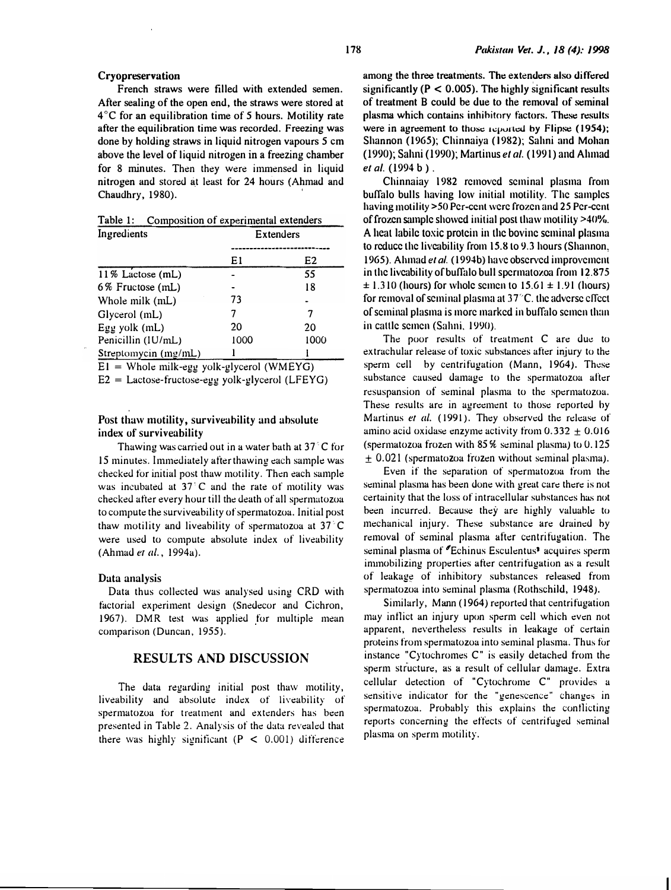French straws were filled with extended semen. After sealing of the open end, the straws were stored at  $4^{\circ}$ C for an equilibration time of 5 hours. Motility rate after the equilibration time was recorded. Freezing was done by holding straws in liquid nitrogen vapours 5 em above the level of liquid nitrogen in a freezing chamber for 8 minutes. Then they were immensed in liquid nitrogen and stored �t least for 24 hours (Ahmad <sup>a</sup>n<sup>d</sup> Chaudhry, 1980).

Table 1: Composition of experimental ext<sup>e</sup>nder<sup>s</sup>

| Ingredients          | Extenders |      |  |
|----------------------|-----------|------|--|
|                      |           |      |  |
|                      | E1        | E2   |  |
| 11% Lactose (mL)     |           | 55   |  |
| 6% Fructose (mL)     |           | 18   |  |
| Whole milk (mL)      | 73        |      |  |
| Glycerol (mL)        |           |      |  |
| Egg yolk (mL)        | 20        | 20   |  |
| Penicillin (IU/mL)   | 1000      | 1000 |  |
| Streptomycin (mg/mL) |           |      |  |

 $EI =$  Whole milk-egg yolk-glycerol (WMEYG)

 $E2 =$  Lactose-fructose-egg yolk-glycerol (LFEYG)

#### Post thaw motility, surviveability and absolute index of surviveability

Thawing was carried out in a water bath at  $37<sup>°</sup>$ C for 15 minutes. Immediately after thawing each sample was checked for initial post thaw motility. Then each sample was incubated at  $37\,$  C and the rate of motility was checked after every hour till the death of all spermatozoa to compute the surviveability of spermatozoa. Initial post thaw motility and liveability of spermatozoa at  $37^{\circ}$ C were used to compute absolute index of liveability (Ahmad er al., 1994a).

#### Data analysis

Data thus collected was analysed using CRD with factorial experiment design (Snedecor and Cichron, <sup>1</sup> 967). DMR test was applied for multiple mean comparison (Duncan, 1955).

#### RESULTS AND DISCUSSION

The data regarding initial post thaw motility, liveability and absolute index of liveability of spermatozoa for treatment and extenders has been presented in Table 2. Analysis of the data revealed that there was highly significant  $(P < 0.001)$  difference

among the three treatments. The <sup>e</sup>xtenders also differed significantly  $(P < 0.005)$ . The highly significant results of treatment B could be due to the removal of seminal plasma which contains inhihitory factors. These results were in agreement to those reported by Flipse (1954); Shannon (1965); Chinnaiya (1982); Sahni and Mohan (1990); Sahni (1990); Martinus et al. (1991) and Ahmad et al. (1994 b).

Chinnaiay 1982 removed seminal plasma from buffalo bulls having low initial motility. The samples having motility >50 Pe<sup>r</sup>-cent were frozen and 25 Per-cent of frozen sample showed initial post thaw motility >40%. A heat labile toxic protein in the bovine seminal plasma to reduce the liveability from 15.8to 9.3 hours (Shannon. 1965). Ahmad et al. (1994b) have observed improvement in the liveability of buffalo bull spermatozoa from 12.875  $\pm$  1.310 (hours) for whole semen to 15.61  $\pm$  1.91 (hours) for removal of seminal plasma at  $37^{\circ}$ C. the adverse effect of seminal plasma is more marked in buffalo semen than in cattle semen (Sahni, 1990).

The poor results of treatment C are due to extrachular release of toxic substances after injury to the sperm cell by centrifugation (Mann, 1964). These substance caused damage to the spermatozoa after resuspansion of seminal plasma to the spermatozoa. These results are in agreement to those reported by Martinus et al. (1991). They observed the release of amino acid oxidase enzyme activity from  $0.332 \pm 0.016$ (spermatozoa frozen with 85% seminal plasma) to 0.125  $\pm$  0.021 (spermatozoa frozen without seminal plasma).

Even if the separation of spermatozoa from the seminal plasma has been done with great care there is not certainity that the loss of intracellular substances has not been incurred. Because they are highly valuable to mechanical injury. These substance are drained by removal of seminal plasma after centrifugation. The seminal plasma of **Echinus Esculentus<sup>9</sup>** acquires sperm inunobilizing properties after centrifugation as a result of leakage of inhibitory substances released from spermatozoa into seminal plasma (Rothschild, 1948).

Similarly, Mann ( 1964) reported that centrifugation may inflict an injury upon sperm cell which even not apparent, nevertheless results in leakage of certain proteins from spermatozoa into seminal plasma. Thus for instance "Cytochromes C" is easily detached from the sperm structure, as a result of cellular damage. Extra cellular detection of "Cytochrome C" provides <sup>a</sup> sensitive indicator for the "genescence" ch<sup>a</sup>nges in spermatozoa. Probably this explains the contlicting reports concerning the effects of centrifuged seminal plasma on sperm motility.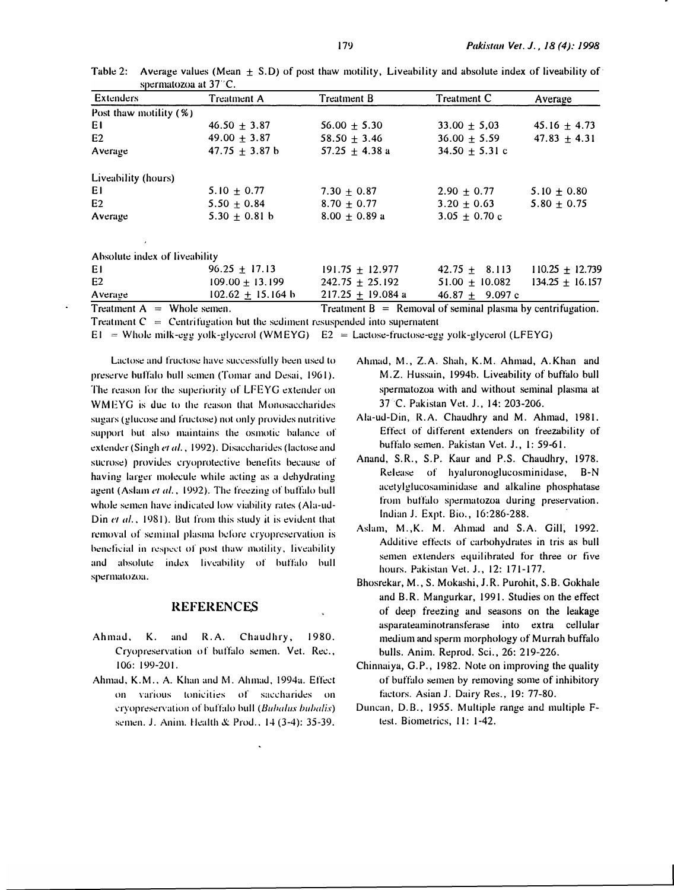| Extenders                     | <b>Treatment A</b> | <b>Treatment B</b> | Treatment C     | Average         |
|-------------------------------|--------------------|--------------------|-----------------|-----------------|
| Post thaw motility (%)        |                    |                    |                 |                 |
| EΙ                            | $46.50 + 3.87$     | $56.00 \pm 5.30$   | $33.00 + 5.03$  | $45.16 + 4.73$  |
| E2                            | $49.00 \pm 3.87$   | $58.50 + 3.46$     | $36.00 + 5.59$  | $47.83 + 4.31$  |
| Average                       | $47.75 \pm 3.87$ b | $57.25 + 4.38$ a   | $34.50 + 5.31c$ |                 |
| Liveability (hours)           |                    |                    |                 |                 |
| ΕI                            | $5.10 + 0.77$      | $7.30 + 0.87$      | $2.90 + 0.77$   | $5.10 + 0.80$   |
| E <sub>2</sub>                | $5.50 + 0.84$      | $8.70 + 0.77$      | $3.20 + 0.63$   | $5.80 \pm 0.75$ |
| Average                       | 5.30 $\pm$ 0.81 b  | $8.00 + 0.89 a$    | $3.05 + 0.70$ c |                 |
| Absolute index of liveability |                    |                    |                 |                 |
|                               |                    |                    |                 |                 |

Table 2: Average values (Mean  $\pm$  S.D) of post thaw motility, Liveability and absolute index of liveability of spermatozoa at 37°C.

| $T$ $\sim$                  | $\mathbf{u}$          | $\mathbf{T}$ . $\mathbf{A}$ . $\mathbf{A}$ . $\mathbf{D}$ . The set of $\mathbf{A}$ is the set of $\mathbf{A}$ . The set of $\mathbf{A}$ is the set of $\mathbf{A}$ |                  |                     |
|-----------------------------|-----------------------|---------------------------------------------------------------------------------------------------------------------------------------------------------------------|------------------|---------------------|
| Average                     | $102.62 \pm 15.164$ b | $217.25 + 19.084 a$                                                                                                                                                 | $46.87 + 9.097c$ |                     |
| E2                          | $109.00 + 13.199$     | $242.75 + 25.192$                                                                                                                                                   | $51.00 + 10.082$ | $134.25 + 16.157$   |
| EI                          | $96.25 + 17.13$       | $191.75 + 12.977$                                                                                                                                                   | $42.75 + 8.113$  | $110.25 \pm 12.739$ |
| ADSOILLE INCEX OF ITVERDING |                       |                                                                                                                                                                     |                  |                     |

Treatment  $A =$  Whole semen. Treatment  $B =$  Removal of seminal plasma by centrifugation. Treatment  $C =$  Centrifugation but the sediment resuspended into supernatent

 $E1$  = Whole milk-egg yolk-glycerol (WMEYG)  $E2$  = Lactose-fructose-egg yolk-glycerol (LFEYG)

Lactose and fructose have successfully been used to preserve buffalo bull semen (Tomar and Desai, 1961). The reason for the superiority of LFEYG extender on WMEYG is due to the reason that Monosaccharides sugars (glucose and fructose) not only provides nutritive support but also maintains the osmotic balance of extender (Singh et al., 1992). Disaccharides (lactose and sucrose) provides cryoprotective benefits because of having larger molecule while acting as a dehydrating agent (Aslam et al., 1992). The freezing of buffalo bull whole semen have indicated low viability rates (Ala-ud-Din et al., 1981). But from this study it is evident that removal of seminal plasma before cryopreservation is beneficial in respect of post thaw motility, liveability and absolute index liveability of buffalo bull spermatozoa.

## **REFERENCES**

- К. and  $R.A.$ Chaudhry, 1980. Ahmad, Cryopreservation of buffalo semen. Vet. Rec., 106: 199-201.
- Ahmad, K.M., A. Khan and M. Ahmad, 1994a. Effect on various tonicities of saccharides on cryopreservation of buffalo bull (Bubalus bubalis) semen. J. Anim. Health & Prod., 14 (3-4): 35-39.
- Ahmad, M., Z.A. Shah, K.M. Ahmad, A.Khan and M.Z. Hussain, 1994b. Liveability of buffalo bull spermatozoa with and without seminal plasma at 37 C. Pakistan Vet. J., 14: 203-206.
- Ala-ud-Din, R.A. Chaudhry and M. Ahmad, 1981. Effect of different extenders on freezability of buffalo semen. Pakistan Vet. J., 1: 59-61.
- Anand, S.R., S.P. Kaur and P.S. Chaudhry, 1978. Release of hyaluronoglucosminidase,  $R-N$ acetylglucosaminidase and alkaline phosphatase from buffalo spermatozoa during preservation. Indian J. Expt. Bio., 16:286-288.
- Aslam, M., K. M. Ahmad and S.A. Gill, 1992. Additive effects of carbohydrates in tris as bull semen extenders equilibrated for three or five hours. Pakistan Vet. J., 12: 171-177.
- Bhosrekar, M., S. Mokashi, J.R. Purohit, S.B. Gokhale and B.R. Mangurkar, 1991. Studies on the effect of deep freezing and seasons on the leakage asparateaminotransferase into extra cellular medium and sperm morphology of Murrah buffalo bulls. Anim. Reprod. Sci., 26: 219-226.
- Chinnaiya, G.P., 1982. Note on improving the quality of buffalo semen by removing some of inhibitory factors. Asian J. Dairy Res., 19: 77-80.
- Duncan, D.B., 1955. Multiple range and multiple Ftest. Biometrics, 11: 1-42.